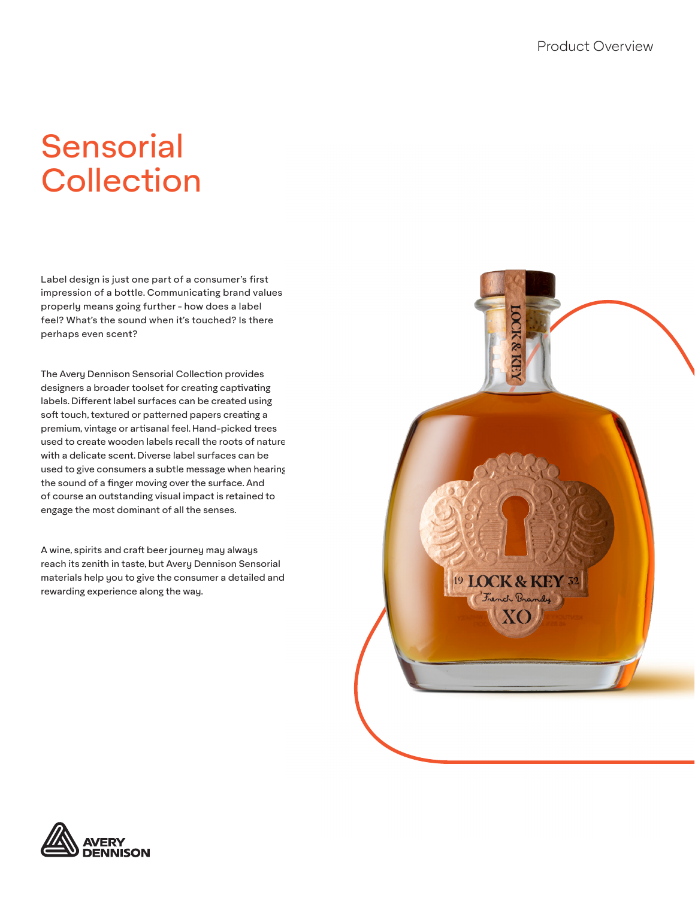# **Sensorial Collection**

Label design is just one part of a consumer's first impression of a bottle. Communicating brand values properly means going further - how does a label feel? What's the sound when it's touched? Is there perhaps even scent?

The Avery Dennison Sensorial Collection provides designers a broader toolset for creating captivating labels. Different label surfaces can be created using soft touch, textured or patterned papers creating a premium, vintage or artisanal feel. Hand-picked trees used to create wooden labels recall the roots of nature with a delicate scent. Diverse label surfaces can be used to give consumers a subtle message when hearing the sound of a finger moving over the surface. And of course an outstanding visual impact is retained to engage the most dominant of all the senses.

A wine, spirits and craft beer journey may always reach its zenith in taste, but Avery Dennison Sensorial materials help you to give the consumer a detailed and rewarding experience along the way.